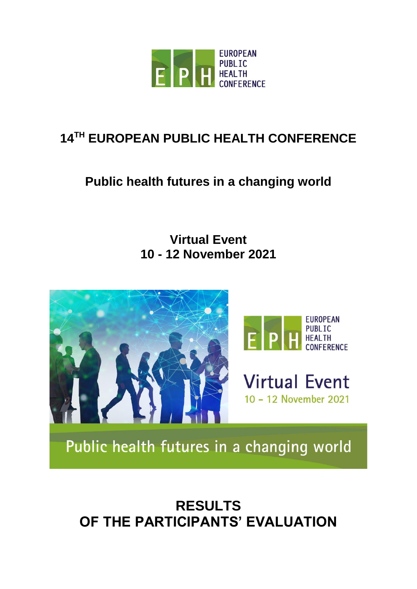

# **14 TH EUROPEAN PUBLIC HEALTH CONFERENCE**

# **Public health futures in a changing world**

# **Virtual Event 10 - 12 November 2021**





**Virtual Event** 10 - 12 November 2021

Public health futures in a changing world

# **RESULTS OF THE PARTICIPANTS' EVALUATION**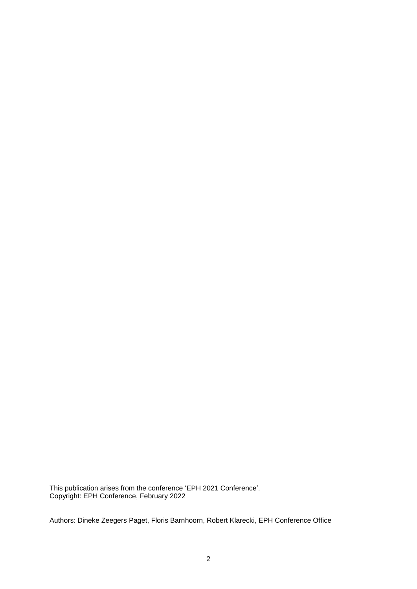This publication arises from the conference 'EPH 2021 Conference'. Copyright: EPH Conference, February 2022

Authors: Dineke Zeegers Paget, Floris Barnhoorn, Robert Klarecki, EPH Conference Office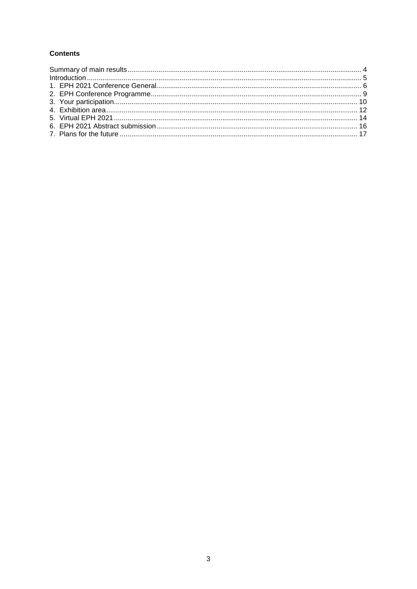#### **Contents**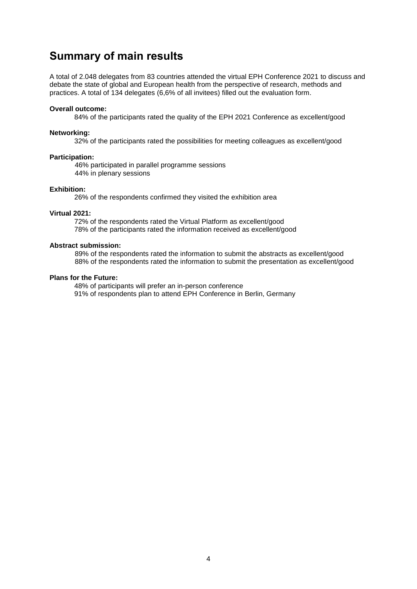## <span id="page-3-0"></span>**Summary of main results**

A total of 2.048 delegates from 83 countries attended the virtual EPH Conference 2021 to discuss and debate the state of global and European health from the perspective of research, methods and practices. A total of 134 delegates (6,6% of all invitees) filled out the evaluation form.

#### **Overall outcome:**

84% of the participants rated the quality of the EPH 2021 Conference as excellent/good

#### **Networking:**

32% of the participants rated the possibilities for meeting colleagues as excellent/good

#### **Participation:**

46% participated in parallel programme sessions 44% in plenary sessions

#### **Exhibition:**

26% of the respondents confirmed they visited the exhibition area

#### **Virtual 2021:**

72% of the respondents rated the Virtual Platform as excellent/good 78% of the participants rated the information received as excellent/good

#### **Abstract submission:**

89% of the respondents rated the information to submit the abstracts as excellent/good 88% of the respondents rated the information to submit the presentation as excellent/good

#### **Plans for the Future:**

48% of participants will prefer an in-person conference 91% of respondents plan to attend EPH Conference in Berlin, Germany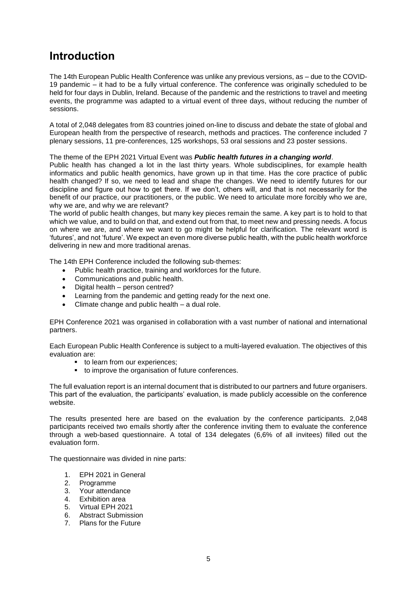# <span id="page-4-0"></span>**Introduction**

The 14th European Public Health Conference was unlike any previous versions, as – due to the COVID-19 pandemic – it had to be a fully virtual conference. The conference was originally scheduled to be held for four days in Dublin, Ireland. Because of the pandemic and the restrictions to travel and meeting events, the programme was adapted to a virtual event of three days, without reducing the number of sessions.

A total of 2,048 delegates from 83 countries joined on-line to discuss and debate the state of global and European health from the perspective of research, methods and practices. The conference included 7 plenary sessions, 11 pre-conferences, 125 workshops, 53 oral sessions and 23 poster sessions.

#### The theme of the EPH 2021 Virtual Event was *Public health futures in a changing world*.

Public health has changed a lot in the last thirty years. Whole subdisciplines, for example health informatics and public health genomics, have grown up in that time. Has the core practice of public health changed? If so, we need to lead and shape the changes. We need to identify futures for our discipline and figure out how to get there. If we don't, others will, and that is not necessarily for the benefit of our practice, our practitioners, or the public. We need to articulate more forcibly who we are, why we are, and why we are relevant?

The world of public health changes, but many key pieces remain the same. A key part is to hold to that which we value, and to build on that, and extend out from that, to meet new and pressing needs. A focus on where we are, and where we want to go might be helpful for clarification. The relevant word is 'futures', and not 'future'. We expect an even more diverse public health, with the public health workforce delivering in new and more traditional arenas.

The 14th EPH Conference included the following sub-themes:

- Public health practice, training and workforces for the future.
- Communications and public health.
- Digital health person centred?
- Learning from the pandemic and getting ready for the next one.
- Climate change and public health a dual role.

EPH Conference 2021 was organised in collaboration with a vast number of national and international partners.

Each European Public Health Conference is subject to a multi-layered evaluation. The objectives of this evaluation are:

- to learn from our experiences;
- to improve the organisation of future conferences.

The full evaluation report is an internal document that is distributed to our partners and future organisers. This part of the evaluation, the participants' evaluation, is made publicly accessible on the conference website.

The results presented here are based on the evaluation by the conference participants. 2,048 participants received two emails shortly after the conference inviting them to evaluate the conference through a web-based questionnaire. A total of 134 delegates (6,6% of all invitees) filled out the evaluation form.

The questionnaire was divided in nine parts:

- 1. EPH 2021 in General
- 2. Programme
- 3. Your attendance
- 4. Exhibition area
- 5. Virtual EPH 2021
- 6. Abstract Submission
- 7. Plans for the Future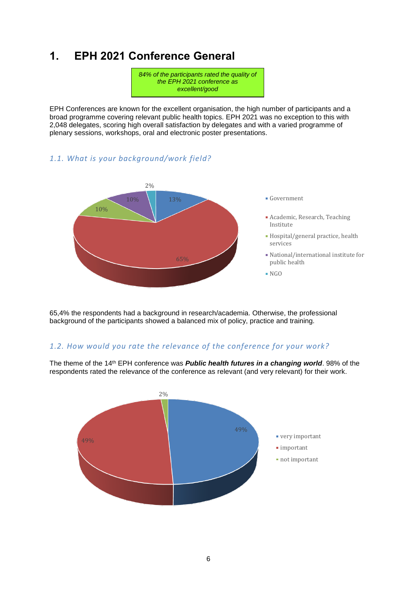# <span id="page-5-0"></span>**1. EPH 2021 Conference General**

*84% of the participants rated the quality of the EPH 2021 conference as excellent/good*

EPH Conferences are known for the excellent organisation, the high number of participants and a broad programme covering relevant public health topics. EPH 2021 was no exception to this with 2,048 delegates, scoring high overall satisfaction by delegates and with a varied programme of plenary sessions, workshops, oral and electronic poster presentations.

#### *1.1. What is your background/work field?*



65,4% the respondents had a background in research/academia. Otherwise, the professional background of the participants showed a balanced mix of policy, practice and training.

#### *1.2. How would you rate the relevance of the conference for your work?*

The theme of the 14<sup>th</sup> EPH conference was *Public health futures in a changing world*. 98% of the respondents rated the relevance of the conference as relevant (and very relevant) for their work.

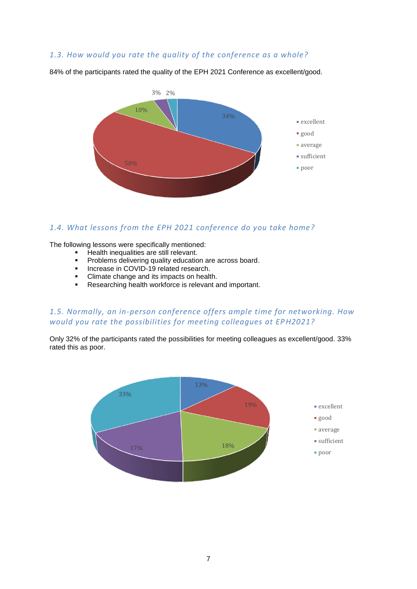### *1.3. How would you rate the quality of the conference as a whole?*



84% of the participants rated the quality of the EPH 2021 Conference as excellent/good.

#### *1.4. What lessons from the EPH 2021 conference do you take home?*

The following lessons were specifically mentioned:

- Health inequalities are still relevant.
- **•** Problems delivering quality education are across board.
- **■** Increase in COVID-19 related research.
- Climate change and its impacts on health.
- Researching health workforce is relevant and important.

#### *1.5. Normally, an in-person conference offers ample time for networking. How would you rate the possibilities for meeting colleagues at EPH2021?*

Only 32% of the participants rated the possibilities for meeting colleagues as excellent/good. 33% rated this as poor.

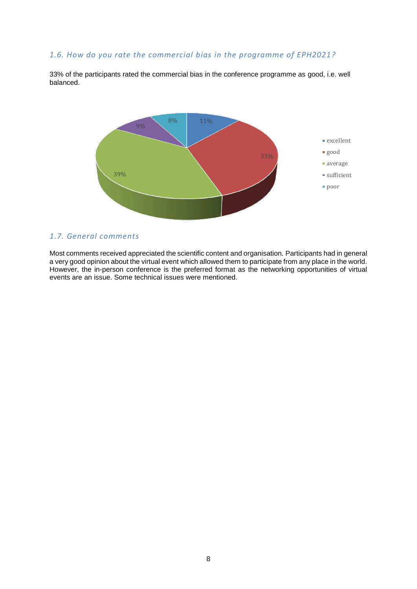#### *1.6. How do you rate the commercial bias in the programme of EPH2021?*

33% of the participants rated the commercial bias in the conference programme as good, i.e. well balanced.



#### *1.7. General comments*

Most comments received appreciated the scientific content and organisation. Participants had in general a very good opinion about the virtual event which allowed them to participate from any place in the world. However, the in-person conference is the preferred format as the networking opportunities of virtual events are an issue. Some technical issues were mentioned.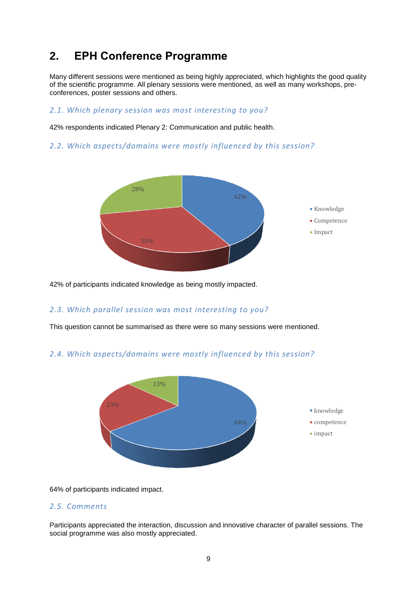# <span id="page-8-0"></span>**2. EPH Conference Programme**

Many different sessions were mentioned as being highly appreciated, which highlights the good quality of the scientific programme. All plenary sessions were mentioned, as well as many workshops, preconferences, poster sessions and others.

#### *2.1. Which plenary session was most interesting to you?*

42% respondents indicated Plenary 2: Communication and public health.

#### *2.2. Which aspects/domains were mostly influenced by this session?*



42% of participants indicated knowledge as being mostly impacted.

#### *2.3. Which parallel session was most interesting to you?*

This question cannot be summarised as there were so many sessions were mentioned.

#### *2.4. Which aspects/domains were mostly influenced by this session?*



64% of participants indicated impact.

#### *2.5. Comments*

Participants appreciated the interaction, discussion and innovative character of parallel sessions. The social programme was also mostly appreciated.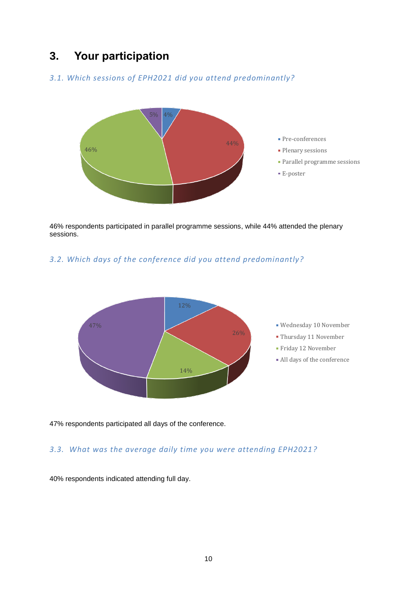# <span id="page-9-0"></span>**3. Your participation**

### *3.1. Which sessions of EPH2021 did you attend predominantly?*



46% respondents participated in parallel programme sessions, while 44% attended the plenary sessions.

### *3.2. Which days of the conference did you attend predominantly?*



47% respondents participated all days of the conference.

### *3.3. What was the average daily time you were attending EPH2021?*

40% respondents indicated attending full day.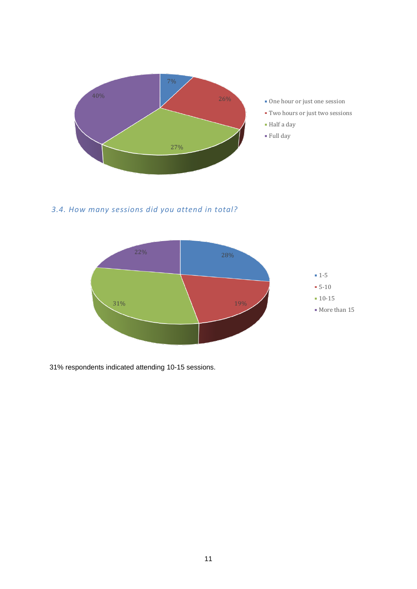

*3.4. How many sessions did you attend in total?*



31% respondents indicated attending 10-15 sessions.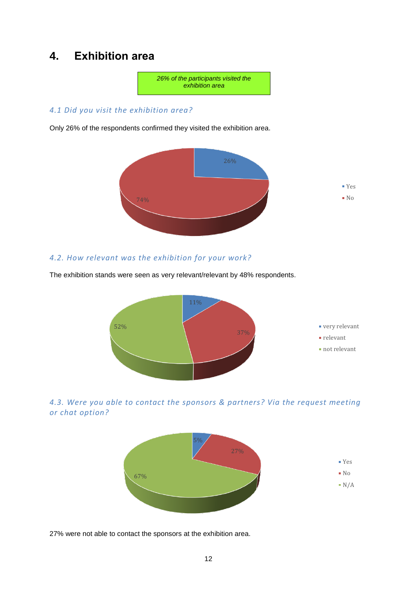# <span id="page-11-0"></span>**4. Exhibition area**



#### *4.1 Did you visit the exhibition area?*

Only 26% of the respondents confirmed they visited the exhibition area.



#### *4.2. How relevant was the exhibition for your work?*

The exhibition stands were seen as very relevant/relevant by 48% respondents.







27% were not able to contact the sponsors at the exhibition area.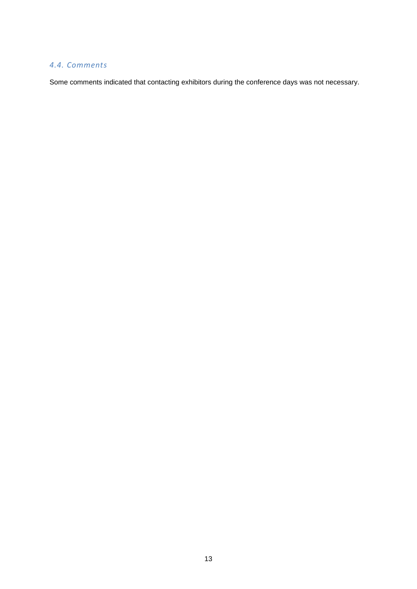### *4.4. Comments*

Some comments indicated that contacting exhibitors during the conference days was not necessary.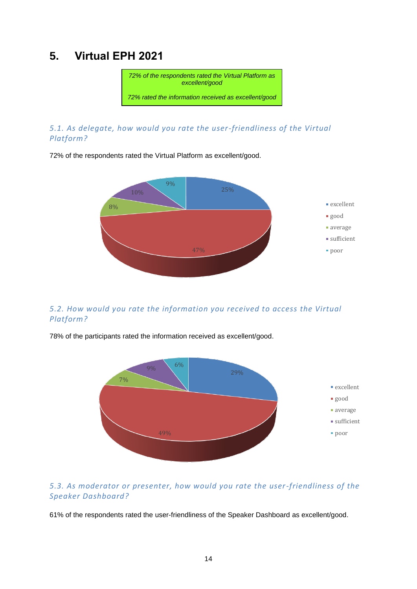# <span id="page-13-0"></span>**5. Virtual EPH 2021**



### *5.1. As delegate, how would you rate the user-friendliness of the Virtual Platform?*

72% of the respondents rated the Virtual Platform as excellent/good.



### *5.2. How would you rate the information you received to access the Virtual Platform?*

78% of the participants rated the information received as excellent/good.



### *5.3. As moderator or presenter, how would you rate the user-friendliness of the Speaker Dashboard?*

61% of the respondents rated the user-friendliness of the Speaker Dashboard as excellent/good.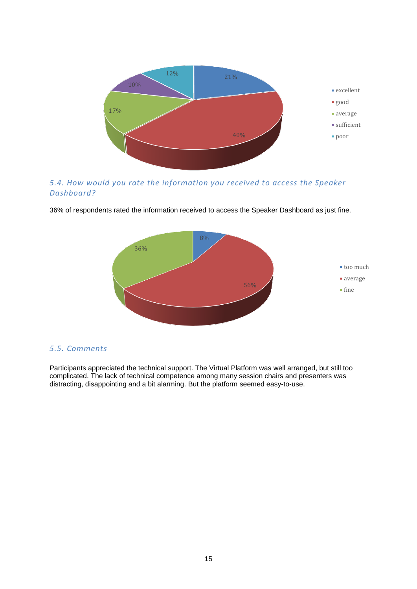

*5.4. How would you rate the information you received to access the Speaker Dashboard?*



36% of respondents rated the information received to access the Speaker Dashboard as just fine.

#### *5.5. Comments*

Participants appreciated the technical support. The Virtual Platform was well arranged, but still too complicated. The lack of technical competence among many session chairs and presenters was distracting, disappointing and a bit alarming. But the platform seemed easy-to-use.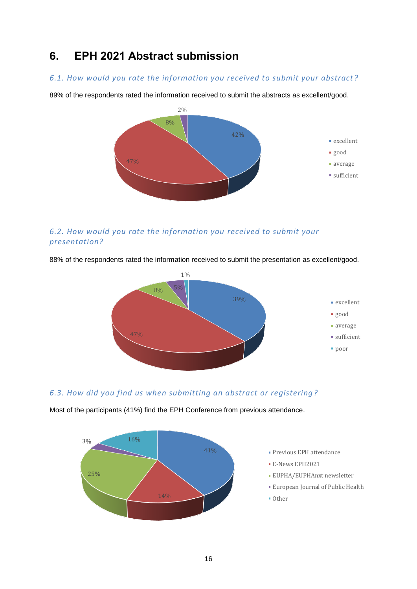# <span id="page-15-0"></span>**6. EPH 2021 Abstract submission**

#### *6.1. How would you rate the information you received to submit your abstract ?*

89% of the respondents rated the information received to submit the abstracts as excellent/good.



### *6.2. How would you rate the information you received to submit your presentation?*



88% of the respondents rated the information received to submit the presentation as excellent/good.

## *6.3. How did you find us when submitting an abstract or registering ?*



Most of the participants (41%) find the EPH Conference from previous attendance.